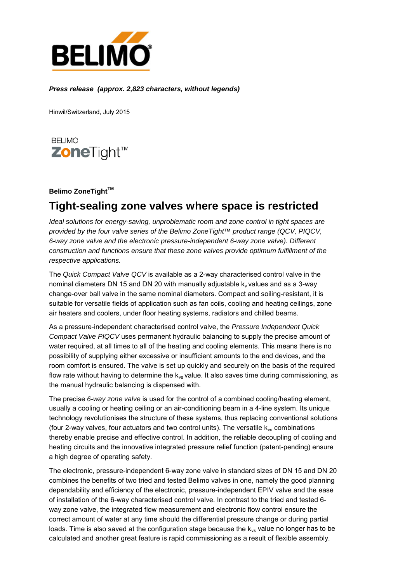

## *Press release (approx. 2,823 characters, without legends)*

Hinwil/Switzerland, July 2015

**BELIMO** ZoneTight™

**Belimo ZoneTightTM** 

## **Tight-sealing zone valves where space is restricted**

*Ideal solutions for energy-saving, unproblematic room and zone control in tight spaces are provided by the four valve series of the Belimo ZoneTight™ product range (QCV, PIQCV, 6-way zone valve and the electronic pressure-independent 6-way zone valve). Different construction and functions ensure that these zone valves provide optimum fulfillment of the respective applications.*

The *Quick Compact Valve QCV* is available as a 2-way characterised control valve in the nominal diameters DN 15 and DN 20 with manually adjustable  $k_v$  values and as a 3-way change-over ball valve in the same nominal diameters. Compact and soiling-resistant, it is suitable for versatile fields of application such as fan coils, cooling and heating ceilings, zone air heaters and coolers, under floor heating systems, radiators and chilled beams.

As a pressure-independent characterised control valve, the *Pressure Independent Quick Compact Valve PIQCV* uses permanent hydraulic balancing to supply the precise amount of water required, at all times to all of the heating and cooling elements. This means there is no possibility of supplying either excessive or insufficient amounts to the end devices, and the room comfort is ensured. The valve is set up quickly and securely on the basis of the required flow rate without having to determine the  $k_{vs}$  value. It also saves time during commissioning, as the manual hydraulic balancing is dispensed with.

The precise *6-way zone valve* is used for the control of a combined cooling/heating element, usually a cooling or heating ceiling or an air-conditioning beam in a 4-line system. Its unique technology revolutionises the structure of these systems, thus replacing conventional solutions (four 2-way valves, four actuators and two control units). The versatile  $k_{vs}$  combinations thereby enable precise and effective control. In addition, the reliable decoupling of cooling and heating circuits and the innovative integrated pressure relief function (patent-pending) ensure a high degree of operating safety.

The electronic, pressure-independent 6-way zone valve in standard sizes of DN 15 and DN 20 combines the benefits of two tried and tested Belimo valves in one, namely the good planning dependability and efficiency of the electronic, pressure-independent EPIV valve and the ease of installation of the 6-way characterised control valve. In contrast to the tried and tested 6 way zone valve, the integrated flow measurement and electronic flow control ensure the correct amount of water at any time should the differential pressure change or during partial loads. Time is also saved at the configuration stage because the  $k_{vs}$  value no longer has to be calculated and another great feature is rapid commissioning as a result of flexible assembly.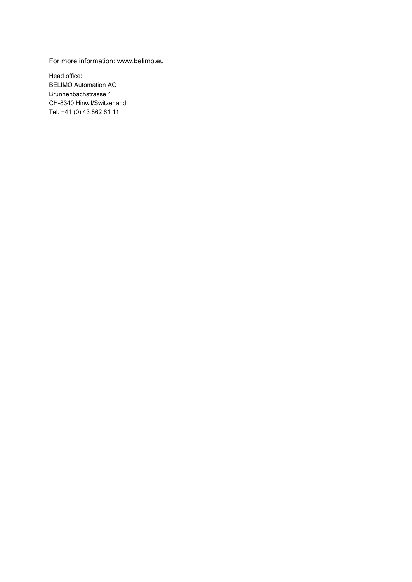For more information: www.belimo.eu

Head office: BELIMO Automation AG Brunnenbachstrasse 1 CH-8340 Hinwil/Switzerland Tel. +41 (0) 43 862 61 11